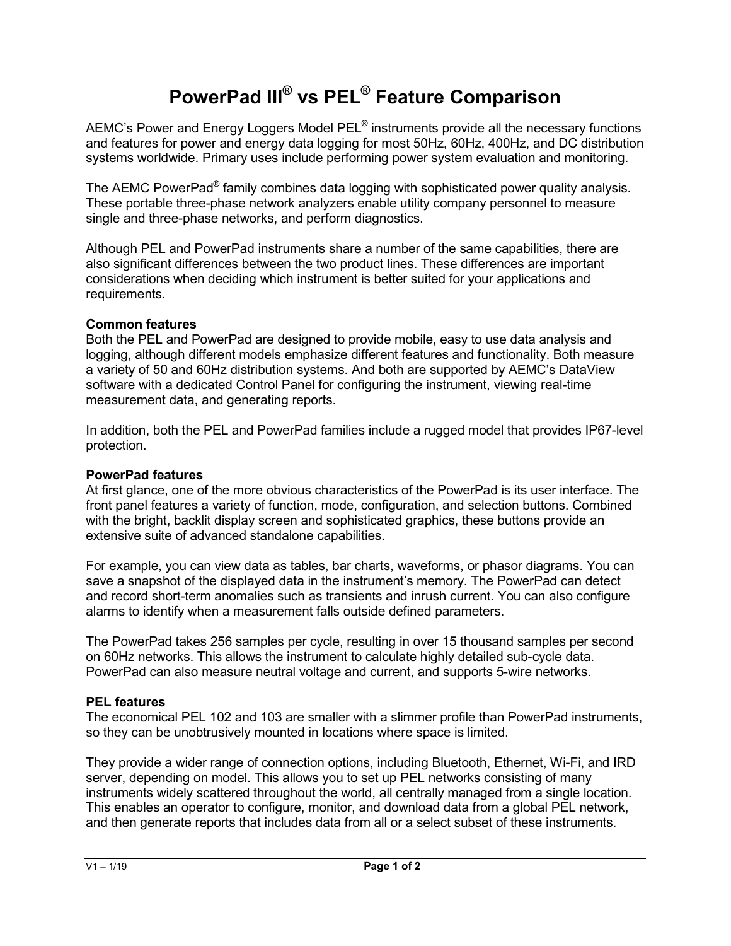# **PowerPad III® vs PEL® Feature Comparison**

AEMC's Power and Energy Loggers Model PEL**®** instruments provide all the necessary functions and features for power and energy data logging for most 50Hz, 60Hz, 400Hz, and DC distribution systems worldwide. Primary uses include performing power system evaluation and monitoring.

The AEMC PowerPad**®** family combines data logging with sophisticated power quality analysis. These portable three-phase network analyzers enable utility company personnel to measure single and three-phase networks, and perform diagnostics.

Although PEL and PowerPad instruments share a number of the same capabilities, there are also significant differences between the two product lines. These differences are important considerations when deciding which instrument is better suited for your applications and requirements.

#### **Common features**

Both the PEL and PowerPad are designed to provide mobile, easy to use data analysis and logging, although different models emphasize different features and functionality. Both measure a variety of 50 and 60Hz distribution systems. And both are supported by AEMC's DataView software with a dedicated Control Panel for configuring the instrument, viewing real-time measurement data, and generating reports.

In addition, both the PEL and PowerPad families include a rugged model that provides IP67-level protection.

#### **PowerPad features**

At first glance, one of the more obvious characteristics of the PowerPad is its user interface. The front panel features a variety of function, mode, configuration, and selection buttons. Combined with the bright, backlit display screen and sophisticated graphics, these buttons provide an extensive suite of advanced standalone capabilities.

For example, you can view data as tables, bar charts, waveforms, or phasor diagrams. You can save a snapshot of the displayed data in the instrument's memory. The PowerPad can detect and record short-term anomalies such as transients and inrush current. You can also configure alarms to identify when a measurement falls outside defined parameters.

The PowerPad takes 256 samples per cycle, resulting in over 15 thousand samples per second on 60Hz networks. This allows the instrument to calculate highly detailed sub-cycle data. PowerPad can also measure neutral voltage and current, and supports 5-wire networks.

## **PEL features**

The economical PEL 102 and 103 are smaller with a slimmer profile than PowerPad instruments, so they can be unobtrusively mounted in locations where space is limited.

They provide a wider range of connection options, including Bluetooth, Ethernet, Wi-Fi, and IRD server, depending on model. This allows you to set up PEL networks consisting of many instruments widely scattered throughout the world, all centrally managed from a single location. This enables an operator to configure, monitor, and download data from a global PEL network, and then generate reports that includes data from all or a select subset of these instruments.